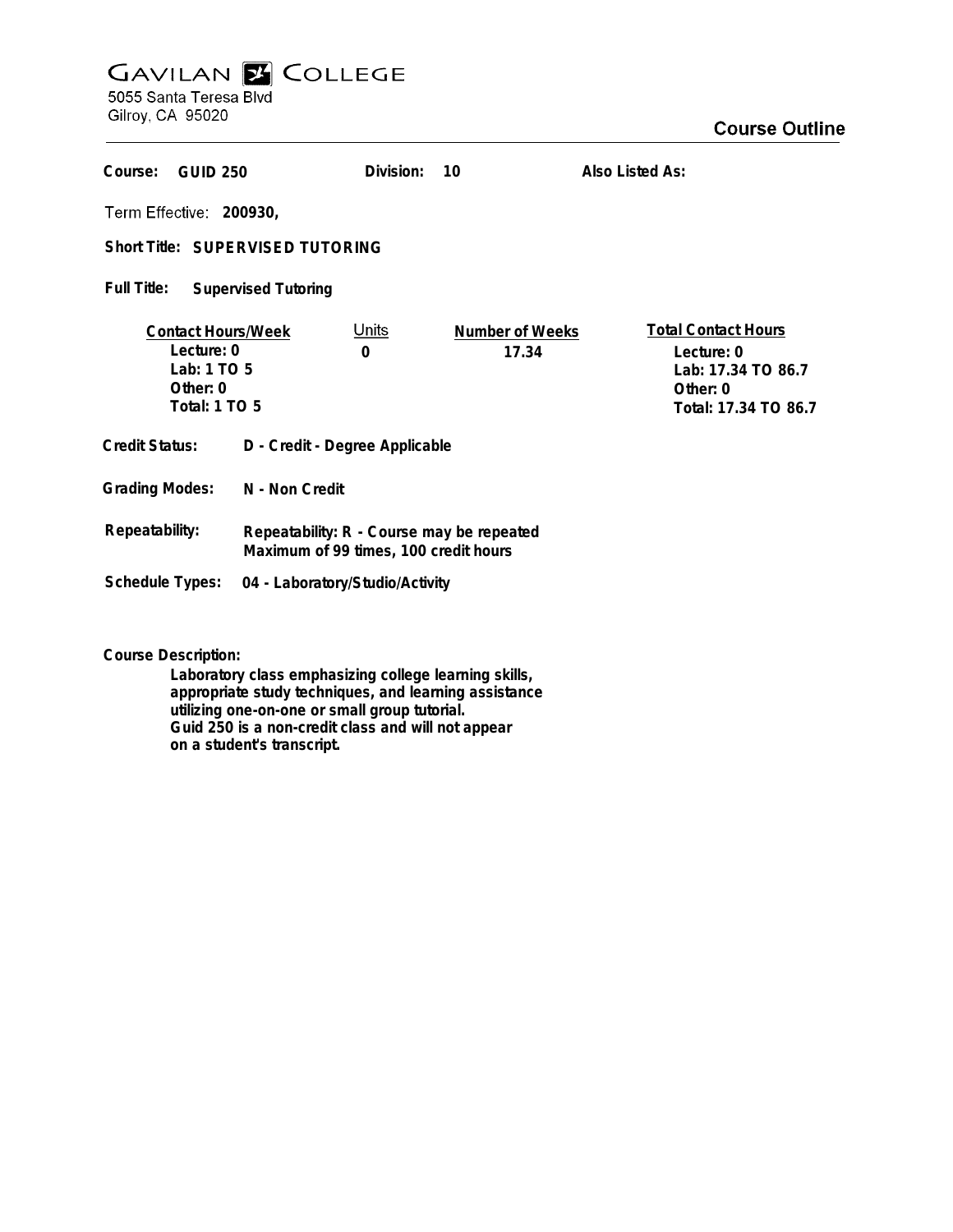## **GAVILAN E COLLEGE**

5055 Santa Teresa Blvd Gilroy, CA 95020

| Course:<br><b>GUID 250</b>                                                                 |                                                                                    | Division:                | 10                       | Also Listed As:                                                                                    |
|--------------------------------------------------------------------------------------------|------------------------------------------------------------------------------------|--------------------------|--------------------------|----------------------------------------------------------------------------------------------------|
| Term Effective: 200930,                                                                    |                                                                                    |                          |                          |                                                                                                    |
| Short Title: SUPERVISED TUTORING                                                           |                                                                                    |                          |                          |                                                                                                    |
| Full Title:<br><b>Supervised Tutoring</b>                                                  |                                                                                    |                          |                          |                                                                                                    |
| <b>Contact Hours/Week</b><br>Lecture: 0<br>Lab: 1 TO 5<br>Other: 0<br><b>Total: 1 TO 5</b> |                                                                                    | <u>Units</u><br>$\Omega$ | Number of Weeks<br>17.34 | <b>Total Contact Hours</b><br>Lecture: 0<br>Lab: 17.34 TO 86.7<br>Other: 0<br>Total: 17.34 TO 86.7 |
| <b>Credit Status:</b>                                                                      | D - Credit - Degree Applicable                                                     |                          |                          |                                                                                                    |
| <b>Grading Modes:</b>                                                                      | N - Non Credit                                                                     |                          |                          |                                                                                                    |
| Repeatability:                                                                             | Repeatability: R - Course may be repeated<br>Maximum of 99 times, 100 credit hours |                          |                          |                                                                                                    |
| <b>Schedule Types:</b>                                                                     | 04 - Laboratory/Studio/Activity                                                    |                          |                          |                                                                                                    |

**Course Description:**

**Laboratory class emphasizing college learning skills, appropriate study techniques, and learning assistance utilizing one-on-one or small group tutorial. Guid 250 is a non-credit class and will not appear on a student's transcript.**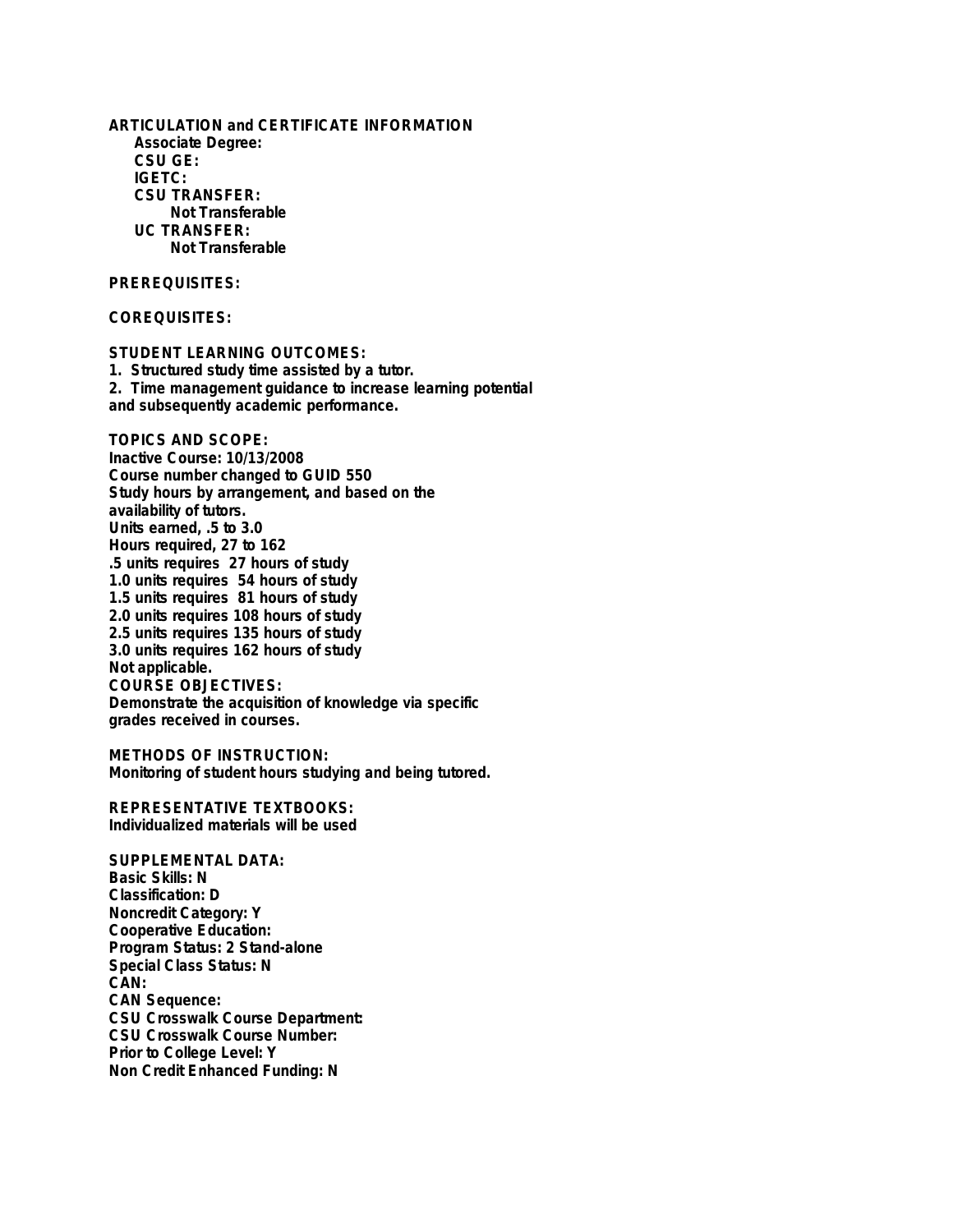**ARTICULATION and CERTIFICATE INFORMATION Associate Degree: CSU GE: IGETC: CSU TRANSFER: Not Transferable UC TRANSFER: Not Transferable PREREQUISITES: COREQUISITES: STUDENT LEARNING OUTCOMES: 1. Structured study time assisted by a tutor. 2. Time management guidance to increase learning potential and subsequently academic performance. TOPICS AND SCOPE: Inactive Course: 10/13/2008 Course number changed to GUID 550 Study hours by arrangement, and based on the availability of tutors.**

**Units earned, .5 to 3.0 Hours required, 27 to 162 .5 units requires 27 hours of study 1.0 units requires 54 hours of study 1.5 units requires 81 hours of study 2.0 units requires 108 hours of study 2.5 units requires 135 hours of study 3.0 units requires 162 hours of study Not applicable. COURSE OBJECTIVES: Demonstrate the acquisition of knowledge via specific grades received in courses.**

**METHODS OF INSTRUCTION: Monitoring of student hours studying and being tutored.**

**REPRESENTATIVE TEXTBOOKS: Individualized materials will be used**

**SUPPLEMENTAL DATA: Basic Skills: N Classification: D Noncredit Category: Y Cooperative Education: Program Status: 2 Stand-alone Special Class Status: N CAN: CAN Sequence: CSU Crosswalk Course Department: CSU Crosswalk Course Number: Prior to College Level: Y Non Credit Enhanced Funding: N**